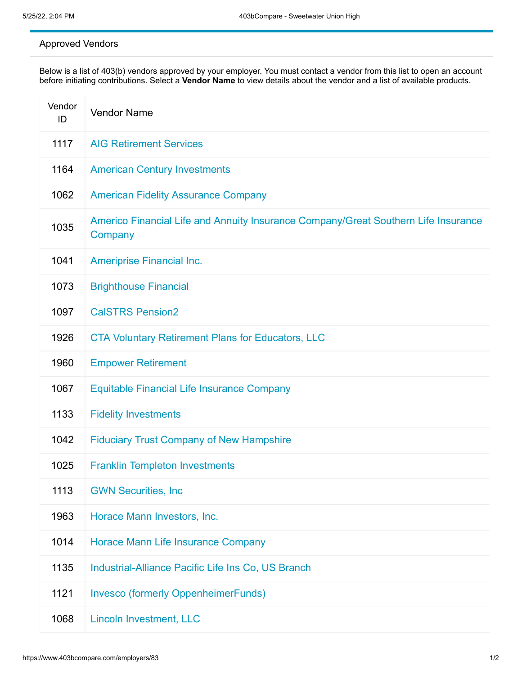## Approved Vendors

Below is a list of 403(b) vendors approved by your employer. You must contact a vendor from this list to open an account before initiating contributions. Select a **Vendor Name** to view details about the vendor and a list of available products.

| Vendor<br>ID | <b>Vendor Name</b>                                                                            |
|--------------|-----------------------------------------------------------------------------------------------|
| 1117         | <b>AIG Retirement Services</b>                                                                |
| 1164         | <b>American Century Investments</b>                                                           |
| 1062         | <b>American Fidelity Assurance Company</b>                                                    |
| 1035         | Americo Financial Life and Annuity Insurance Company/Great Southern Life Insurance<br>Company |
| 1041         | <b>Ameriprise Financial Inc.</b>                                                              |
| 1073         | <b>Brighthouse Financial</b>                                                                  |
| 1097         | <b>CalSTRS Pension2</b>                                                                       |
| 1926         | <b>CTA Voluntary Retirement Plans for Educators, LLC</b>                                      |
| 1960         | <b>Empower Retirement</b>                                                                     |
| 1067         | <b>Equitable Financial Life Insurance Company</b>                                             |
| 1133         | <b>Fidelity Investments</b>                                                                   |
| 1042         | <b>Fiduciary Trust Company of New Hampshire</b>                                               |
| 1025         | <b>Franklin Templeton Investments</b>                                                         |
| 1113         | <b>GWN Securities, Inc</b>                                                                    |
| 1963         | Horace Mann Investors, Inc.                                                                   |
| 1014         | <b>Horace Mann Life Insurance Company</b>                                                     |
| 1135         | Industrial-Alliance Pacific Life Ins Co, US Branch                                            |
| 1121         | <b>Invesco (formerly OppenheimerFunds)</b>                                                    |
| 1068         | <b>Lincoln Investment, LLC</b>                                                                |